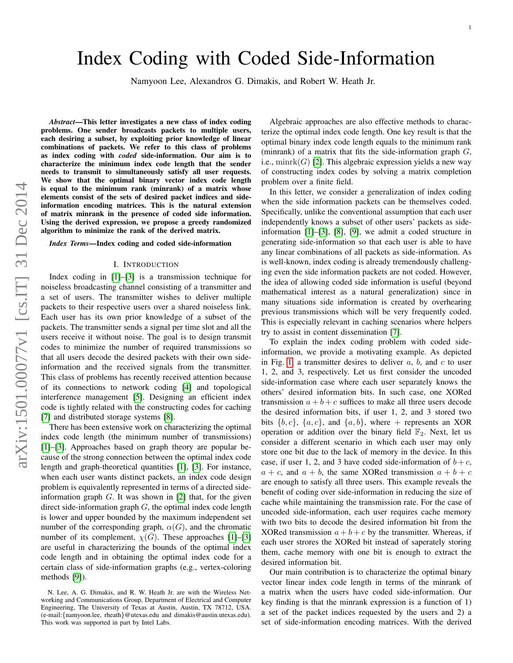# Index Coding with Coded Side-Information

Namyoon Lee, Alexandros G. Dimakis, and Robert W. Heath Jr.

*Abstract*—This letter investigates a new class of index coding problems. One sender broadcasts packets to multiple users, each desiring a subset, by exploiting prior knowledge of linear combinations of packets. We refer to this class of problems as index coding with *coded* side-information. Our aim is to characterize the minimum index code length that the sender needs to transmit to simultaneously satisfy all user requests. We show that the optimal binary vector index code length is equal to the minimum rank (minrank) of a matrix whose elements consist of the sets of desired packet indices and sideinformation encoding matrices. This is the natural extension of matrix minrank in the presence of coded side information. Using the derived expression, we propose a greedy randomized algorithm to minimize the rank of the derived matrix.

#### *Index Terms*—Index coding and coded side-information

#### I. INTRODUCTION

Index coding in [\[1\]](#page-4-0)–[\[3\]](#page-4-1) is a transmission technique for noiseless broadcasting channel consisting of a transmitter and a set of users. The transmitter wishes to deliver multiple packets to their respective users over a shared noiseless link. Each user has its own prior knowledge of a subset of the packets. The transmitter sends a signal per time slot and all the users receive it without noise. The goal is to design transmit codes to minimize the number of required transmissions so that all users decode the desired packets with their own sideinformation and the received signals from the transmitter. This class of problems has recently received attention because of its connections to network coding [\[4\]](#page-4-2) and topological interference management [\[5\]](#page-4-3). Designing an efficient index code is tightly related with the constructing codes for caching [\[7\]](#page-4-4) and distributed storage systems [\[8\]](#page-4-5).

There has been extensive work on characterizing the optimal index code length (the minimum number of transmissions) [\[1\]](#page-4-0)–[\[3\]](#page-4-1). Approaches based on graph theory are popular because of the strong connection between the optimal index code length and graph-theoretical quantities [\[1\]](#page-4-0), [\[3\]](#page-4-1). For instance, when each user wants distinct packets, an index code design problem is equivalently represented in terms of a directed sideinformation graph  $G$ . It was shown in  $[2]$  that, for the given direct side-information graph  $G$ , the optimal index code length is lower and upper bounded by the maximum independent set number of the corresponding graph,  $\alpha(G)$ , and the chromatic number of its complement,  $\chi(\overline{G})$ . These approaches [\[1\]](#page-4-0)–[\[3\]](#page-4-1) are useful in characterizing the bounds of the optimal index code length and in obtaining the optimal index code for a certain class of side-information graphs (e.g., vertex-coloring methods [\[9\]](#page-4-7)).

Algebraic approaches are also effective methods to characterize the optimal index code length. One key result is that the optimal binary index code length equals to the minimum rank (minrank) of a matrix that fits the side-information graph  $G$ , i.e.,  $minrk(G)$  [\[2\]](#page-4-6). This algebraic expression yields a new way of constructing index codes by solving a matrix completion problem over a finite field.

In this letter, we consider a generalization of index coding when the side information packets can be themselves coded. Specifically, unlike the conventional assumption that each user independently knows a subset of other users' packets as sideinformation [\[1\]](#page-4-0)–[\[3\]](#page-4-1), [\[8\]](#page-4-5), [\[9\]](#page-4-7), we admit a coded structure in generating side-information so that each user is able to have any linear combinations of all packets as side-information. As is well-known, index coding is already tremendously challenging even the side information packets are not coded. However, the idea of allowing coded side information is useful (beyond mathematical interest as a natural generalization) since in many situations side information is created by overhearing previous transmissions which will be very frequently coded. This is especially relevant in caching scenarios where helpers try to assist in content dissemination [\[7\]](#page-4-4).

To explain the index coding problem with coded sideinformation, we provide a motivating example. As depicted in Fig. [1,](#page-1-0) a transmitter desires to deliver  $a, b$ , and  $c$  to user 1, 2, and 3, respectively. Let us first consider the uncoded side-information case where each user separately knows the others' desired information bits. In such case, one XORed transmission  $a + b + c$  suffices to make all three users decode the desired information bits, if user 1, 2, and 3 stored two bits  $\{b, c\}$ ,  $\{a, c\}$ , and  $\{a, b\}$ , where + represents an XOR operation or addition over the binary field  $\mathbb{F}_2$ . Next, let us consider a different scenario in which each user may only store one bit due to the lack of memory in the device. In this case, if user 1, 2, and 3 have coded side-information of  $b + c$ ,  $a + c$ , and  $a + b$ , the same XORed transmission  $a + b + c$ are enough to satisfy all three users. This example reveals the benefit of coding over side-information in reducing the size of cache while maintaining the transmission rate. For the case of uncoded side-information, each user requires cache memory with two bits to decode the desired information bit from the XORed transmission  $a + b + c$  by the transmitter. Whereas, if each user strores the XORed bit instead of saperately storing them, cache memory with one bit is enough to extract the desired information bit.

Our main contribution is to characterize the optimal binary vector linear index code length in terms of the minrank of a matrix when the users have coded side-information. Our key finding is that the minrank expression is a function of 1) a set of the packet indices requested by the users and 2) a set of side-information encoding matrices. With the derived

N. Lee, A. G. Dimakis, and R. W. Heath Jr. are with the Wireless Networking and Communications Group, Department of Electrical and Computer Engineering, The University of Texas at Austin, Austin, TX 78712, USA. (e-mail:{namyoon.lee, rheath}@utexas.edu and dimakis@austin.utexas.edu). This work was supported in part by Intel Labs.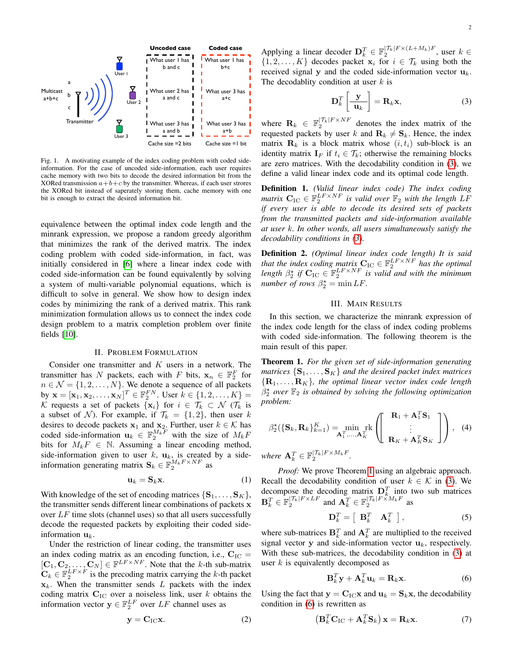

<span id="page-1-0"></span>Fig. 1. A motivating example of the index coding problem with coded sideinformation. For the case of uncoded side-information, each user requires cache memory with two bits to decode the desired information bit from the XORed transmission  $a+b+c$  by the transmitter. Whereas, if each user strores the XORed bit instead of saperately storing them, cache memory with one bit is enough to extract the desired information bit.

equivalence between the optimal index code length and the minrank expression, we propose a random greedy algorithm that minimizes the rank of the derived matrix. The index coding problem with coded side-information, in fact, was initially considered in [\[6\]](#page-4-8) where a linear index code with coded side-information can be found equivalently by solving a system of multi-variable polynomial equations, which is difficult to solve in general. We show how to design index codes by minimizing the rank of a derived matrix. This rank minimization formulation allows us to connect the index code design problem to a matrix completion problem over finite fields [\[10\]](#page-4-9).

#### II. PROBLEM FORMULATION

Consider one transmitter and  $K$  users in a network. The transmitter has N packets, each with F bits,  $x_n \in \mathbb{F}_2^F$  for  $n \in \mathcal{N} = \{1, 2, \dots, N\}$ . We denote a sequence of all packets by  $\mathbf{x} = [\mathbf{x}_1, \mathbf{x}_2, \dots, \mathbf{x}_N]^T \in \mathbb{F}_2^{FN}$ . User  $k \in \{1, 2, \dots, K\}$ K requests a set of packets  $\{x_i\}$  for  $i \in \mathcal{T}_k \subset \mathcal{N}$  ( $\mathcal{T}_k$  is a subset of N). For example, if  $\mathcal{T}_k = \{1, 2\}$ , then user k desires to decode packets  $x_1$  and  $x_2$ . Further, user  $k \in \mathcal{K}$  has coded side-information  $\mathbf{u}_k \in \mathbb{F}_2^{M_k F}$  with the size of  $M_k F$ bits for  $M_k F \in \mathbb{N}$ . Assuming a linear encoding method, side-information given to user  $k$ ,  $\mathbf{u}_k$ , is created by a sideinformation generating matrix  $\mathbf{S}_k \in \mathbb{F}_2^{M_k F \times NF}$  as

$$
\mathbf{u}_k = \mathbf{S}_k \mathbf{x}.\tag{1}
$$

With knowledge of the set of encoding matrices  $\{S_1, \ldots, S_K\},\$ the transmitter sends different linear combinations of packets x over  $LF$  time slots (channel uses) so that all users successfully decode the requested packets by exploiting their coded sideinformation  $\mathbf{u}_k$ .

Under the restriction of linear coding, the transmitter uses an index coding matrix as an encoding function, i.e.,  $C_{\text{IC}} =$  $[\mathbf{C}_1, \mathbf{C}_2, \dots, \mathbf{C}_N] \in \mathbb{F}^{LF \times NF}$ . Note that the k-th sub-matrix  $\mathbf{C}_k \in \mathbb{F}_2^{LF \times F}$  is the precoding matrix carrying the k-th packet  $x_k$ . When the transmitter sends L packets with the index coding matrix  $C_{\text{IC}}$  over a noiseless link, user k obtains the information vector  $y \in \mathbb{F}_2^{LF}$  over  $LF$  channel uses as

$$
y = C_{\rm IC} x. \tag{2}
$$

Applying a linear decoder  $\mathbf{D}_k^T \in \mathbb{F}_2^{|\mathcal{T}_k| F \times (L+M_k)F}$ , user  $k \in$  $\{1, 2, \ldots, K\}$  decodes packet  $x_i$  for  $i \in \mathcal{T}_k$  using both the received signal y and the coded side-information vector  $\mathbf{u}_k$ . The decodablity condition at user  $k$  is

<span id="page-1-1"></span>
$$
\mathbf{D}_k^T \left[ \frac{\mathbf{y}}{\mathbf{u}_k} \right] = \mathbf{R}_k \mathbf{x},\tag{3}
$$

where  $\mathbf{R}_k \in \mathbb{F}_2^{|\mathcal{T}_k|F \times NF}$  denotes the index matrix of the requested packets by user k and  $\mathbf{R}_k \neq \mathbf{S}_k$ . Hence, the index matrix  $\mathbf{R}_k$  is a block matrix whose  $(i, t_i)$  sub-block is an identity matrix  $\mathbf{I}_F$  if  $t_i \in \mathcal{T}_k$ ; otherwise the remaining blocks are zero matrices. With the decodability condition in [\(3\)](#page-1-1), we define a valid linear index code and its optimal code length.

Definition 1. *(Valid linear index code) The index coding matrix*  $C_{\text{IC}} \in \mathbb{F}_2^{LF \times NF}$  is valid over  $\mathbb{F}_2$  with the length  $LF$ *if every user is able to decode its desired sets of packets from the transmitted packets and side-information available at user* k*. In other words, all users simultaneously satisfy the decodability conditions in [\(3\)](#page-1-1).*

Definition 2. *(Optimal linear index code length) It is said that the index coding matrix*  $C_{\text{IC}} \in \mathbb{F}_2^{LF \times NF}$  *has the optimal length*  $\beta_2^*$  *if*  $\mathbf{C}_{\text{IC}} \in \mathbb{F}_2^{LF \times NF}$  *is valid and with the minimum number of rows*  $\beta_2^* = \min LF$ .

#### III. MAIN RESULTS

In this section, we characterize the minrank expression of the index code length for the class of index coding problems with coded side-information. The following theorem is the main result of this paper.

<span id="page-1-2"></span>Theorem 1. *For the given set of side-information generating matrices*  $\{S_1, \ldots, S_K\}$  *and the desired packet index matrices*  ${R_1, \ldots, R_K}$ *, the optimal linear vector index code length*  $\hat{\beta}_2^{\star}$  *over*  $\mathbb{F}_2$  *is obtained by solving the following optimization problem:*

$$
\beta_2^{\star}(\{\mathbf{S}_k, \mathbf{R}_k\}_{k=1}^K) = \min_{\mathbf{A}_1^T, \dots, \mathbf{A}_K^T} \left( \begin{bmatrix} \mathbf{R}_1 + \mathbf{A}_1^T \mathbf{S}_1 \\ \vdots \\ \mathbf{R}_K + \mathbf{A}_K^T \mathbf{S}_K \end{bmatrix} \right), \quad (4)
$$

*where*  $\mathbf{A}_k^T \in \mathbb{F}_2^{|\mathcal{T}_k|F \times M_kF}$ .

*Proof:* We prove Theorem [1](#page-1-2) using an algebraic approach. Recall the decodability condition of user  $k \in \mathcal{K}$  in [\(3\)](#page-1-1). We decompose the decoding matrix  $D_k^T$  into two sub matrices  $\mathbf{B}_k^T \in \mathbb{F}_2^{|\mathcal{T}_k|F \times LF}$  and  $\mathbf{A}_k^T \in \mathbb{F}_2^{|\mathcal{T}_k|F \times M_kF}$  as

<span id="page-1-5"></span>
$$
\mathbf{D}_k^T = \left[ \begin{array}{cc} \mathbf{B}_k^T & \mathbf{A}_k^T \end{array} \right],\tag{5}
$$

where sub-matrices  $\mathbf{B}_k^T$  and  $\mathbf{A}_k^T$  are multiplied to the received signal vector y and side-information vector  $\mathbf{u}_k$ , respectively. With these sub-matrices, the decodability condition in [\(3\)](#page-1-1) at user  $k$  is equivalently decomposed as

<span id="page-1-4"></span><span id="page-1-3"></span>
$$
\mathbf{B}_k^T \mathbf{y} + \mathbf{A}_k^T \mathbf{u}_k = \mathbf{R}_k \mathbf{x}.\tag{6}
$$

Using the fact that  $y = C_{\text{IC}}x$  and  $u_k = S_kx$ , the decodability condition in [\(6\)](#page-1-3) is rewritten as

$$
\left(\mathbf{B}_k^T \mathbf{C}_{\mathrm{IC}} + \mathbf{A}_k^T \mathbf{S}_k\right) \mathbf{x} = \mathbf{R}_k \mathbf{x}.\tag{7}
$$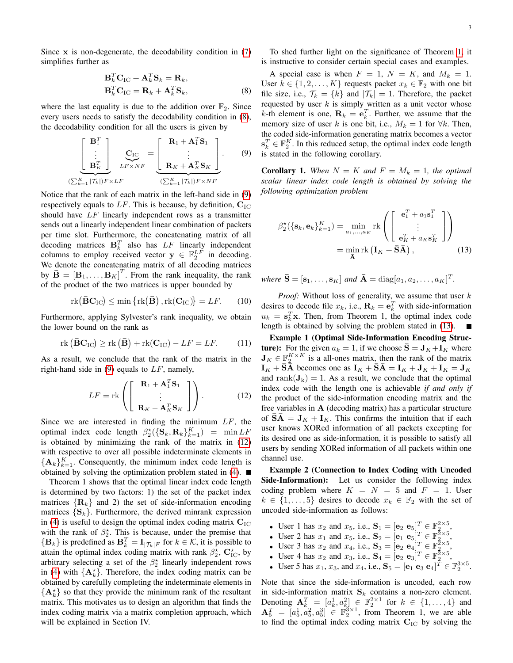Since  $x$  is non-degenerate, the decodability condition in  $(7)$ simplifies further as

$$
\mathbf{B}_k^T \mathbf{C}_{\text{IC}} + \mathbf{A}_k^T \mathbf{S}_k = \mathbf{R}_k, \n\mathbf{B}_k^T \mathbf{C}_{\text{IC}} = \mathbf{R}_k + \mathbf{A}_k^T \mathbf{S}_k,
$$
\n(8)

where the last equality is due to the addition over  $\mathbb{F}_2$ . Since every users needs to satisfy the decodability condition in [\(8\)](#page-2-0), the decodability condition for all the users is given by

$$
\left[\begin{array}{c}\n\mathbf{B}_{1}^{T} \\
\vdots \\
\mathbf{B}_{K}^{T}\n\end{array}\right]_{LF \times NF} = \left[\begin{array}{c}\n\mathbf{R}_{1} + \mathbf{A}_{1}^{T}\mathbf{S}_{1} \\
\vdots \\
\mathbf{R}_{K} + \mathbf{A}_{K}^{T}\mathbf{S}_{K}\n\end{array}\right].
$$
\n(9)\n
$$
(\sum_{k=1}^{K} |\mathcal{T}_{k}|) F \times LF
$$

Notice that the rank of each matrix in the left-hand side in [\(9\)](#page-2-1) respectively equals to  $LF$ . This is because, by definition,  $C_{\text{IC}}$ should have  $LF$  linearly independent rows as a transmitter sends out a linearly independent linear combination of packets per time slot. Furthermore, the concatenating matrix of all decoding matrices  $\mathbf{B}_k^T$  also has  $LF$  linearly independent columns to employ received vector  $y \in \mathbb{F}_2^{LF}$  in decoding. We denote the concatenating matrix of all decoding matrices by  $\mathbf{\bar{B}} = [\mathbf{B}_1, \dots, \mathbf{B}_K]^T$ . From the rank inequality, the rank of the product of the two matrices is upper bounded by

$$
\mathrm{rk}(\bar{\mathbf{B}}\mathbf{C}_{\mathrm{IC}}) \le \min\left\{\mathrm{rk}(\bar{\mathbf{B}}), \mathrm{rk}(\mathbf{C}_{\mathrm{IC}})\right\} = LF. \tag{10}
$$

Furthermore, applying Sylvester's rank inequality, we obtain the lower bound on the rank as

$$
\operatorname{rk} (\bar{\mathbf{B}} \mathbf{C}_{\text{IC}}) \ge \operatorname{rk} (\bar{\mathbf{B}}) + \operatorname{rk} (\mathbf{C}_{\text{IC}}) - L F = L F. \tag{11}
$$

As a result, we conclude that the rank of the matrix in the right-hand side in  $(9)$  equals to  $LF$ , namely,

$$
LF = \text{rk}\left(\begin{bmatrix} \mathbf{R}_1 + \mathbf{A}_1^T \mathbf{S}_1 \\ \vdots \\ \mathbf{R}_K + \mathbf{A}_K^T \mathbf{S}_K \end{bmatrix}\right). \tag{12}
$$

Since we are interested in finding the minimum  $LF$ , the optimal index code length  $\beta_2^{\star}(\{\mathbf{S}_k, \mathbf{R}_k\}_{k=1}^K) = \min LF$ is obtained by minimizing the rank of the matrix in [\(12\)](#page-2-2) with respective to over all possible indeterminate elements in  ${ {\bf A}_k }_{k=1}^K$ . Consequently, the minimum index code length is obtained by solving the optimization problem stated in  $(4)$ .

Theorem 1 shows that the optimal linear index code length is determined by two factors: 1) the set of the packet index matrices  $\{R_k\}$  and 2) the set of side-information encoding matrices  $\{S_k\}$ . Furthermore, the derived minrank expression in [\(4\)](#page-1-5) is useful to design the optimal index coding matrix  $C_{\text{IC}}$ with the rank of  $\beta_2^*$ . This is because, under the premise that  ${B_k}$  is predefined as  ${\bf B}_k^T = {\bf I}_{|\mathcal{T}_k|F}$  for  $k \in \mathcal{K}$ , it is possible to attain the optimal index coding matrix with rank  $\beta_2^*$ ,  $\mathbf{C}_{\text{IC}}^*$ , by arbitrary selecting a set of the  $\beta_2^*$  linearly independent rows in [\(4\)](#page-1-5) with  $\{A_k^*\}$ . Therefore, the index coding matrix can be obtained by carefully completing the indeterminate elements in  ${ {\bf A}_k^{\star} }$  so that they provide the minimum rank of the resultant matrix. This motivates us to design an algorithm that finds the index coding matrix via a matrix completion approach, which will be explained in Section IV.

To shed further light on the significance of Theorem [1,](#page-1-2) it is instructive to consider certain special cases and examples.

<span id="page-2-0"></span>A special case is when  $F = 1$ ,  $N = K$ , and  $M_k = 1$ . User  $k \in \{1, 2, ..., K\}$  requests packet  $x_k \in \mathbb{F}_2$  with one bit file size, i.e.,  $\mathcal{T}_k = \{k\}$  and  $|\mathcal{T}_k| = 1$ . Therefore, the packet requested by user  $k$  is simply written as a unit vector whose k-th element is one,  $\mathbf{R}_k = \mathbf{e}_k^T$ . Further, we assume that the memory size of user k is one bit, i.e.,  $M_k = 1$  for  $\forall k$ . Then, the coded side-information generating matrix becomes a vector  $\mathbf{s}_k^T \in \mathbb{F}_2^K$ . In this reduced setup, the optimal index code length is stated in the following corollary.

<span id="page-2-1"></span>**Corollary 1.** When  $N = K$  and  $F = M_k = 1$ , the optimal *scalar linear index code length is obtained by solving the following optimization problem*

<span id="page-2-3"></span>
$$
\beta_2^{\star}(\{\mathbf{s}_k, \mathbf{e}_k\}_{k=1}^K) = \min_{a_1, \dots, a_K} \text{rk}\left(\begin{bmatrix} \mathbf{e}_1^T + a_1 \mathbf{s}_1^T \\ \vdots \\ \mathbf{e}_K^T + a_K \mathbf{s}_K^T \end{bmatrix}\right)
$$

$$
= \min_{\mathbf{\bar{A}}} \text{rk}\left(\mathbf{I}_K + \mathbf{\bar{S}}\mathbf{\bar{A}}\right), \qquad (13)
$$

where  $\bar{\mathbf{S}} = [\mathbf{s}_1, \dots, \mathbf{s}_K]$  and  $\bar{\mathbf{A}} = \text{diag}[a_1, a_2, \dots, a_K]^T$ .

*Proof:* Without loss of generality, we assume that user  $k$ desires to decode file  $x_k$ , i.e.,  $\mathbf{R}_k = \mathbf{e}_k^T$  with side-information  $u_k = s_k^T \mathbf{x}$ . Then, from Theorem 1, the optimal index code length is obtained by solving the problem stated in [\(13\)](#page-2-3).  $\blacksquare$ 

<span id="page-2-2"></span>Example 1 (Optimal Side-Information Encoding Struc**ture**): For the given  $a_k = 1$ , if we choose  $\bar{S} = J_K + I_K$  where  $\mathbf{J}_K \in \mathbb{F}_2^{K \times K}$  is a all-ones matrix, then the rank of the matrix  $I_K + \bar{S}\bar{A}$  becomes one as  $I_K + \bar{S}\bar{A} = I_K + J_K + I_K = J_K$ and rank $(\mathbf{J}_k) = 1$ . As a result, we conclude that the optimal index code with the length one is achievable *if and only if* the product of the side-information encoding matrix and the free variables in  $A$  (decoding matrix) has a particular structure of  $\overline{\mathbf{S}}\overline{\mathbf{A}} = \mathbf{J}_K + \mathbf{I}_K$ . This confirms the intuition that if each user knows XORed information of all packets excepting for its desired one as side-information, it is possible to satisfy all users by sending XORed information of all packets within one channel use.

Example 2 (Connection to Index Coding with Uncoded Side-Information): Let us consider the following index coding problem where  $K = N = 5$  and  $F = 1$ . User  $k \in \{1, \ldots, 5\}$  desires to decode  $x_k \in \mathbb{F}_2$  with the set of uncoded side-information as follows:

- User 1 has  $x_2$  and  $x_5$ , i.e.,  $S_1 = [e_2 \ e_5]^T \in \mathbb{F}_2^{2 \times 5}$ ,
- User 2 has  $x_1$  and  $x_5$ , i.e.,  $S_2 = [e_1 \ e_5]^T \in \mathbb{F}_2^{2 \times 5}$ ,
- User 3 has  $x_2$  and  $x_4$ , i.e.,  $S_3 = [e_2 \ e_4]^T \in \mathbb{F}_2^{2 \times 5}$ ,
- User 4 has  $x_2$  and  $x_3$ , i.e.,  $S_4 = [e_2 \ e_3]^T \in \mathbb{F}_2^{5 \times 5}$ ,
- User 5 has  $x_1, x_3$ , and  $x_4$ , i.e.,  $S_5 = [\mathbf{e}_1 \ \mathbf{e}_3 \ \mathbf{e}_4]^T \in \mathbb{F}_2^{3 \times 5}$ .

Note that since the side-information is uncoded, each row in side-information matrix  $S_k$  contains a non-zero element. Denoting  $\mathbf{A}_k^T = [a_k^1, a_k^2] \in \mathbb{F}_2^{2 \times 1}$  for  $k \in \{1, \ldots, 4\}$  and  $\mathbf{A}_5^T = [a_5^1, a_5^2, a_5^3] \in \mathbb{F}_2^{3 \times 1}$ , from Theorem 1, we are able to find the optimal index coding matrix  $C_{\text{IC}}$  by solving the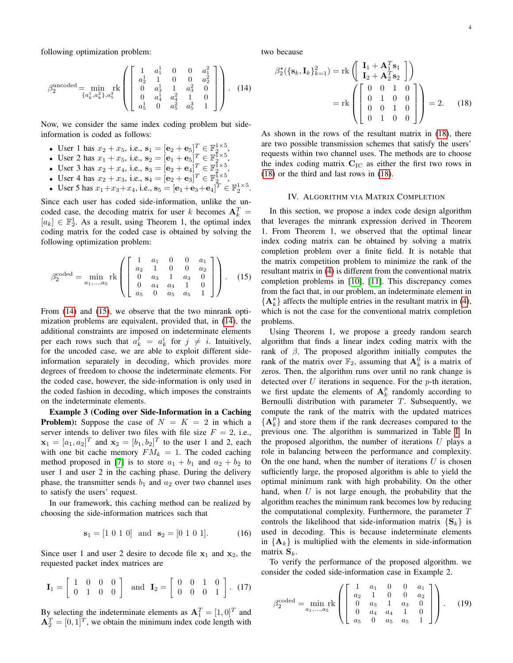following optimization problem:

$$
\beta_2^{\text{uncoded}} = \min_{\{a_k^1, a_k^2\}, a_3^3} \text{rk}\n\left(\n\begin{bmatrix}\n1 & a_1^1 & 0 & 0 & a_1^2 \\
a_2^1 & 1 & 0 & 0 & a_2^2 \\
0 & a_3^1 & 1 & a_3^2 & 0 \\
0 & a_4^1 & a_4^2 & 1 & 0 \\
a_5^1 & 0 & a_5^2 & a_5^3 & 1\n\end{bmatrix}\n\right).
$$
\n(14)

Now, we consider the same index coding problem but sideinformation is coded as follows:

- User 1 has  $x_2 + x_5$ , i.e.,  $\mathbf{s}_1 = [\mathbf{e}_2 + \mathbf{e}_5]^T \in \mathbb{F}_2^{1 \times 5}$ ,
- User 2 has  $x_1 + x_5$ , i.e.,  $s_2 = [e_1 + e_5]^T \in \mathbb{F}_2^{1 \times 5}$ ,
- User 3 has  $x_2 + x_4$ , i.e.,  $s_3 = [\mathbf{e}_2 + \mathbf{e}_4]^T \in \mathbb{F}_2^{1 \times 5}$ ,
- User 4 has  $x_2 + x_3$ , i.e.,  $\mathbf{s}_4 = [\mathbf{e}_2 + \mathbf{e}_3]^T \in \mathbb{F}_2^{\mathbb{I} \times \mathbb{5}}$ ,
- User 5 has  $x_1 + x_3 + x_4$ , i.e.,  $\mathbf{s}_5 = [\mathbf{e}_1 + \mathbf{e}_3 + \mathbf{e}_4]^T \in \mathbb{F}_2^{1 \times 5}$ .

Since each user has coded side-information, unlike the uncoded case, the decoding matrix for user k becomes  $A_k^T =$  $[a_k] \in \mathbb{F}_2^1$ . As a result, using Theorem 1, the optimal index coding matrix for the coded case is obtained by solving the following optimization problem:

$$
\beta_2^{\text{coded}} = \min_{a_1, \dots, a_5} \text{rk}\n\left( \begin{bmatrix}\n1 & a_1 & 0 & 0 & a_1 \\
a_2 & 1 & 0 & 0 & a_2 \\
0 & a_3 & 1 & a_3 & 0 \\
0 & a_4 & a_4 & 1 & 0 \\
a_5 & 0 & a_5 & a_5 & 1\n\end{bmatrix} \right). \tag{15}
$$

From  $(14)$  and  $(15)$ , we observe that the two minrank optimization problems are equivalent, provided that, in [\(14\)](#page-3-0), the additional constraints are imposed on indeterminate elements per each rows such that  $a_k^j = a_k^i$  for  $j \neq i$ . Intuitively, for the uncoded case, we are able to exploit different sideinformation separately in decoding, which provides more degrees of freedom to choose the indeterminate elements. For the coded case, however, the side-information is only used in the coded fashion in decoding, which imposes the constraints on the indeterminate elements.

Example 3 (Coding over Side-Information in a Caching **Problem):** Suppose the case of  $N = K = 2$  in which a server intends to deliver two files with file size  $F = 2$ , i.e.,  $\mathbf{x}_1 = [a_1, a_2]^T$  and  $\mathbf{x}_2 = [b_1, b_2]^T$  to the user 1 and 2, each with one bit cache memory  $FM_k = 1$ . The coded caching method proposed in [\[7\]](#page-4-4) is to store  $a_1 + b_1$  and  $a_2 + b_2$  to user 1 and user 2 in the caching phase. During the delivery phase, the transmitter sends  $b_1$  and  $a_2$  over two channel uses to satisfy the users' request.

In our framework, this caching method can be realized by choosing the side-information matrices such that

$$
\mathbf{s}_1 = [1 \ 0 \ 1 \ 0] \quad \text{and} \quad \mathbf{s}_2 = [0 \ 1 \ 0 \ 1]. \tag{16}
$$

Since user 1 and user 2 desire to decode file  $x_1$  and  $x_2$ , the requested packet index matrices are

$$
\mathbf{I}_1 = \left[ \begin{array}{ccc} 1 & 0 & 0 & 0 \\ 0 & 1 & 0 & 0 \end{array} \right] \text{ and } \mathbf{I}_2 = \left[ \begin{array}{ccc} 0 & 0 & 1 & 0 \\ 0 & 0 & 0 & 1 \end{array} \right]. (17)
$$

By selecting the indeterminate elements as  $A_1^T = [1, 0]^T$  and  $A_2^T = [0, 1]^T$ , we obtain the minimum index code length with <span id="page-3-0"></span>two because

<span id="page-3-2"></span>
$$
\beta_2^{\star}(\{\mathbf{s}_k, \mathbf{I}_k\}_{k=1}^2) = \text{rk}\begin{pmatrix} \mathbf{I}_1 + \mathbf{A}_1^T \mathbf{s}_1 \\ \mathbf{I}_2 + \mathbf{A}_2^T \mathbf{s}_2 \\ \mathbf{I}_2 + \mathbf{A}_2^T \mathbf{s}_2 \end{pmatrix}
$$

$$
= \text{rk}\begin{pmatrix} 0 & 0 & 1 & 0 \\ 0 & 1 & 0 & 0 \\ 0 & 0 & 1 & 0 \\ 0 & 1 & 0 & 0 \end{pmatrix} = 2.
$$
 (18)

As shown in the rows of the resultant matrix in [\(18\)](#page-3-2), there are two possible transmission schemes that satisfy the users' requests within two channel uses. The methods are to choose the index coding matrix  $C_{\text{IC}}$  as either the first two rows in [\(18\)](#page-3-2) or the third and last rows in [\(18\)](#page-3-2).

### IV. ALGORITHM VIA MATRIX COMPLETION

<span id="page-3-1"></span>In this section, we propose a index code design algorithm that leverages the minrank expression derived in Theorem 1. From Theorem 1, we observed that the optimal linear index coding matrix can be obtained by solving a matrix completion problem over a finite field. It is notable that the matrix competition problem to minimize the rank of the resultant matrix in [\(4\)](#page-1-5) is different from the conventional matrix completion problems in [\[10\]](#page-4-9), [\[11\]](#page-4-10). This discrepancy comes from the fact that, in our problem, an indeterminate element in  ${A^*_{k}}$  affects the multiple entries in the resultant matrix in [\(4\)](#page-1-5), which is not the case for the conventional matrix completion problems.

Using Theorem 1, we propose a greedy random search algorithm that finds a linear index coding matrix with the rank of  $\beta$ . The proposed algorithm initially computes the rank of the matrix over  $\mathbb{F}_2$ , assuming that  $\mathbf{A}_k^0$  is a matrix of zeros. Then, the algorithm runs over until no rank change is detected over  $U$  iterations in sequence. For the  $p$ -th iteration, we first update the elements of  $A_k^p$  randomly according to Bernoulli distribution with parameter  $T$ . Subsequently, we compute the rank of the matrix with the updated matrices  ${A_k^p}$  and store them if the rank decreases compared to the previous one. The algorithm is summarized in Table [I.](#page-4-11) In the proposed algorithm, the number of iterations  $U$  plays a role in balancing between the performance and complexity. On the one hand, when the number of iterations  $U$  is chosen sufficiently large, the proposed algorithm is able to yield the optimal minimum rank with high probability. On the other hand, when  $U$  is not large enough, the probability that the algorithm reaches the minimum rank becomes low by reducing the computational complexity. Furthermore, the parameter  $T$ controls the likelihood that side-information matrix  ${S_k}$  is used in decoding. This is because indeterminate elements in  ${A_k}$  is multiplied with the elements in side-information matrix  $S_k$ .

To verify the performance of the proposed algorithm. we consider the coded side-information case in Example 2.

<span id="page-3-3"></span>
$$
\beta_2^{\text{coded}} = \min_{a_1, ..., a_5} \text{rk}\n\left(\n\begin{bmatrix}\n1 & a_1 & 0 & 0 & a_1 \\
a_2 & 1 & 0 & 0 & a_2 \\
0 & a_3 & 1 & a_3 & 0 \\
0 & a_4 & a_4 & 1 & 0 \\
a_5 & 0 & a_5 & a_5 & 1\n\end{bmatrix}\n\right).
$$
\n(19)